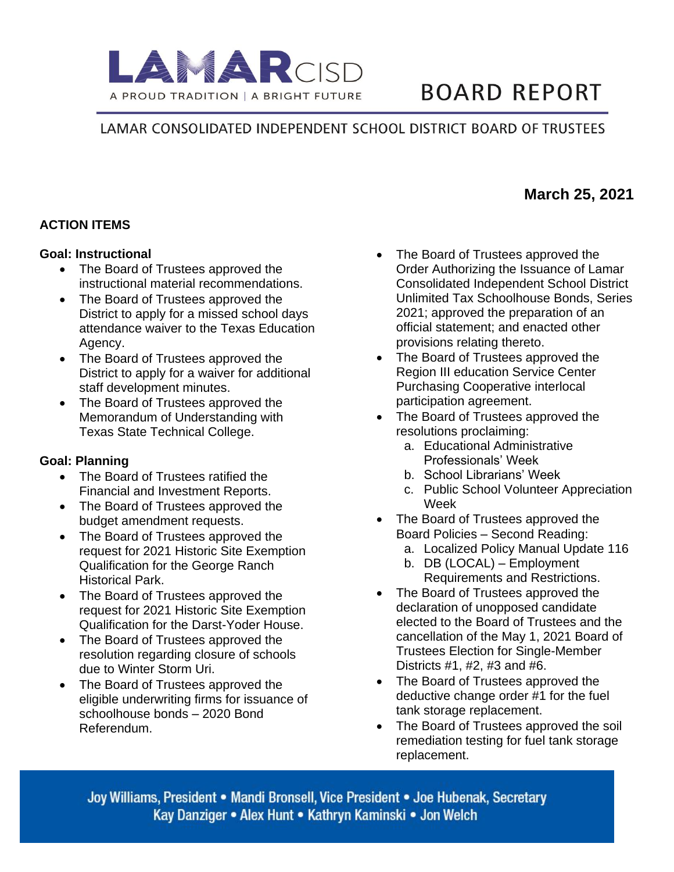

# **BOARD REPORT**

## LAMAR CONSOLIDATED INDEPENDENT SCHOOL DISTRICT BOARD OF TRUSTEES

## **ACTION ITEMS**

#### **Goal: Instructional**

- The Board of Trustees approved the instructional material recommendations.
- The Board of Trustees approved the District to apply for a missed school days attendance waiver to the Texas Education Agency.
- The Board of Trustees approved the District to apply for a waiver for additional staff development minutes.
- The Board of Trustees approved the Memorandum of Understanding with Texas State Technical College.

#### **Goal: Planning**

- The Board of Trustees ratified the Financial and Investment Reports.
- The Board of Trustees approved the budget amendment requests.
- The Board of Trustees approved the request for 2021 Historic Site Exemption Qualification for the George Ranch Historical Park.
- The Board of Trustees approved the request for 2021 Historic Site Exemption Qualification for the Darst-Yoder House.
- The Board of Trustees approved the resolution regarding closure of schools due to Winter Storm Uri.
- The Board of Trustees approved the eligible underwriting firms for issuance of schoolhouse bonds – 2020 Bond Referendum.
- The Board of Trustees approved the Order Authorizing the Issuance of Lamar Consolidated Independent School District Unlimited Tax Schoolhouse Bonds, Series 2021; approved the preparation of an official statement; and enacted other provisions relating thereto.
- The Board of Trustees approved the Region III education Service Center Purchasing Cooperative interlocal participation agreement.
- The Board of Trustees approved the resolutions proclaiming:
	- a. Educational Administrative Professionals' Week
	- b. School Librarians' Week
	- c. Public School Volunteer Appreciation Week
- The Board of Trustees approved the Board Policies – Second Reading:
	- a. Localized Policy Manual Update 116
	- b. DB (LOCAL) Employment Requirements and Restrictions.
- The Board of Trustees approved the declaration of unopposed candidate elected to the Board of Trustees and the cancellation of the May 1, 2021 Board of Trustees Election for Single-Member Districts #1, #2, #3 and #6.
- The Board of Trustees approved the deductive change order #1 for the fuel tank storage replacement.
- The Board of Trustees approved the soil remediation testing for fuel tank storage replacement.

Joy Williams, President • Mandi Bronsell, Vice President • Joe Hubenak, Secretary Kay Danziger • Alex Hunt • Kathryn Kaminski • Jon Welch

# **March 25, 2021**